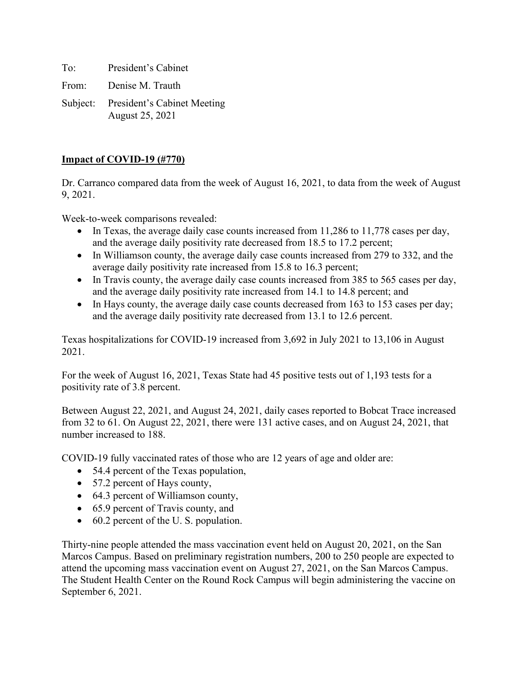To: President's Cabinet From: Denise M. Trauth

Subject: President's Cabinet Meeting August 25, 2021

## **Impact of COVID-19 (#770)**

Dr. Carranco compared data from the week of August 16, 2021, to data from the week of August 9, 2021.

Week-to-week comparisons revealed:

- In Texas, the average daily case counts increased from 11,286 to 11,778 cases per day, and the average daily positivity rate decreased from 18.5 to 17.2 percent;
- In Williamson county, the average daily case counts increased from 279 to 332, and the average daily positivity rate increased from 15.8 to 16.3 percent;
- In Travis county, the average daily case counts increased from 385 to 565 cases per day, and the average daily positivity rate increased from 14.1 to 14.8 percent; and
- In Hays county, the average daily case counts decreased from 163 to 153 cases per day; and the average daily positivity rate decreased from 13.1 to 12.6 percent.

Texas hospitalizations for COVID-19 increased from 3,692 in July 2021 to 13,106 in August 2021.

For the week of August 16, 2021, Texas State had 45 positive tests out of 1,193 tests for a positivity rate of 3.8 percent.

Between August 22, 2021, and August 24, 2021, daily cases reported to Bobcat Trace increased from 32 to 61. On August 22, 2021, there were 131 active cases, and on August 24, 2021, that number increased to 188.

COVID-19 fully vaccinated rates of those who are 12 years of age and older are:

- 54.4 percent of the Texas population,
- 57.2 percent of Hays county,
- 64.3 percent of Williamson county,
- 65.9 percent of Travis county, and
- 60.2 percent of the U.S. population.

Thirty-nine people attended the mass vaccination event held on August 20, 2021, on the San Marcos Campus. Based on preliminary registration numbers, 200 to 250 people are expected to attend the upcoming mass vaccination event on August 27, 2021, on the San Marcos Campus. The Student Health Center on the Round Rock Campus will begin administering the vaccine on September 6, 2021.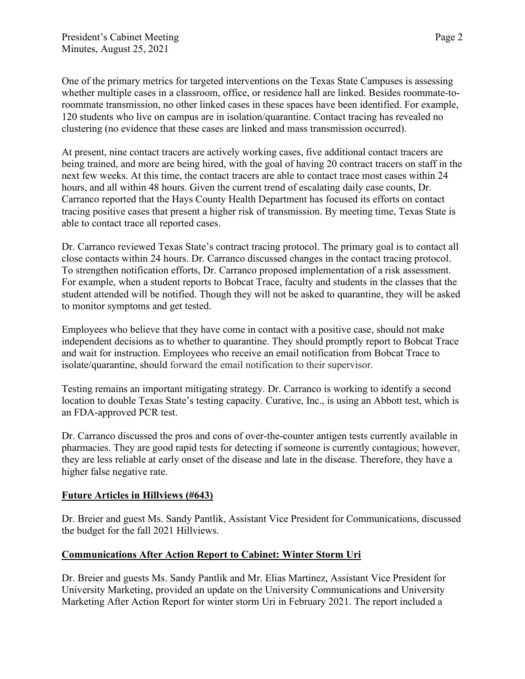One of the primary metrics for targeted interventions on the Texas State Campuses is assessing whether multiple cases in a classroom, office, or residence hall are linked. Besides roommate-toroommate transmission, no other linked cases in these spaces have been identified. For example, 120 students who live on campus are in isolation/quarantine. Contact tracing has revealed no clustering (no evidence that these cases are linked and mass transmission occurred).

At present, nine contact tracers are actively working cases, five additional contact tracers are being trained, and more are being hired, with the goal of having 20 contract tracers on staff in the next few weeks. At this time, the contact tracers are able to contact trace most cases within 24 hours, and all within 48 hours. Given the current trend of escalating daily case counts, Dr. Carranco reported that the Hays County Health Department has focused its efforts on contact tracing positive cases that present a higher risk of transmission. By meeting time, Texas State is able to contact trace all reported cases.

Dr. Carranco reviewed Texas State's contract tracing protocol. The primary goal is to contact all close contacts within 24 hours. Dr. Carranco discussed changes in the contact tracing protocol. To strengthen notification efforts, Dr. Carranco proposed implementation of a risk assessment. For example, when a student reports to Bobcat Trace, faculty and students in the classes that the student attended will be notified. Though they will not be asked to quarantine, they will be asked to monitor symptoms and get tested.

Employees who believe that they have come in contact with a positive case, should not make independent decisions as to whether to quarantine. They should promptly report to Bobcat Trace and wait for instruction. Employees who receive an email notification from Bobcat Trace to isolate/quarantine, should forward the email notification to their supervisor.

Testing remains an important mitigating strategy. Dr. Carranco is working to identify a second location to double Texas State's testing capacity. Curative, Inc., is using an Abbott test, which is an FDA-approved PCR test.

Dr. Carranco discussed the pros and cons of over-the-counter antigen tests currently available in pharmacies. They are good rapid tests for detecting if someone is currently contagious; however, they are less reliable at early onset of the disease and late in the disease. Therefore, they have a higher false negative rate.

## **Future Articles in Hillviews (#643)**

Dr. Breier and guest Ms. Sandy Pantlik, Assistant Vice President for Communications, discussed the budget for the fall 2021 Hillviews.

# **Communications After Action Report to Cabinet: Winter Storm Uri**

Dr. Breier and guests Ms. Sandy Pantlik and Mr. Elias Martinez, Assistant Vice President for University Marketing, provided an update on the University Communications and University Marketing After Action Report for winter storm Uri in February 2021. The report included a